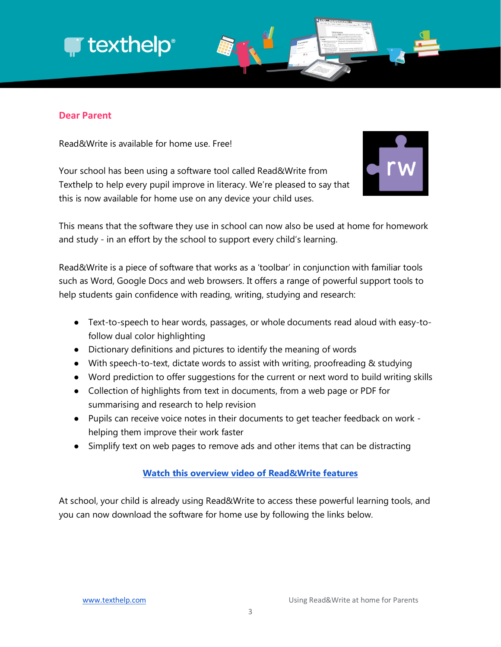## **T** texthelp<sup>®</sup>



## **Dear Parent**

Read&Write is available for home use. Free!

Your school has been using a software tool called Read&Write from Texthelp to help every pupil improve in literacy. We're pleased to say that this is now available for home use on any device your child uses.



This means that the software they use in school can now also be used at home for homework and study - in an effort by the school to support every child's learning.

Read&Write is a piece of software that works as a 'toolbar' in conjunction with familiar tools such as Word, Google Docs and web browsers. It offers a range of powerful support tools to help students gain confidence with reading, writing, studying and research:

- Text-to-speech to hear words, passages, or whole documents read aloud with easy-tofollow dual color highlighting
- Dictionary definitions and pictures to identify the meaning of words
- With speech-to-text, dictate words to assist with writing, proofreading & studying
- Word prediction to offer suggestions for the current or next word to build writing skills
- Collection of highlights from text in documents, from a web page or PDF for summarising and research to help revision
- Pupils can receive voice notes in their documents to get teacher feedback on work helping them improve their work faster
- Simplify text on web pages to remove ads and other items that can be distracting

## **[Watch this overview video of Read&Write features](https://www.youtube.com/watch?v=F2oV7WVLHIc&index=4&list=PLvSZbmGbKpCQ9Cw5rDZ66hTxc8eI2ufaj)**

At school, your child is already using Read&Write to access these powerful learning tools, and you can now download the software for home use by following the links below.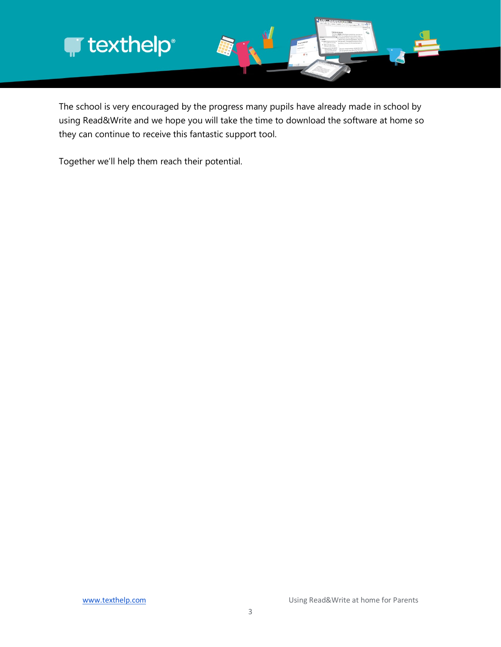

The school is very encouraged by the progress many pupils have already made in school by using Read&Write and we hope you will take the time to download the software at home so they can continue to receive this fantastic support tool.

Together we'll help them reach their potential.